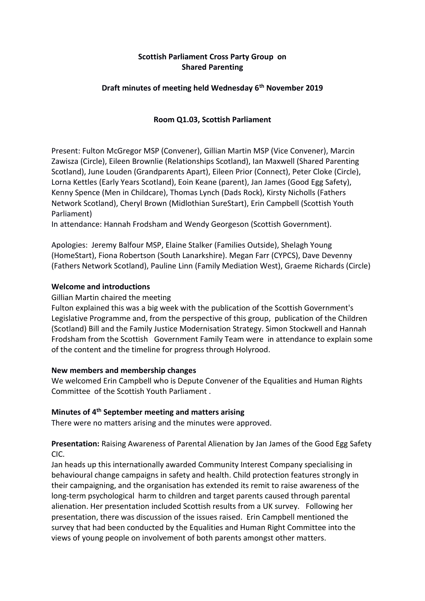# **Scottish Parliament Cross Party Group on Shared Parenting**

### **Draft minutes of meeting held Wednesday 6th November 2019**

### **Room Q1.03, Scottish Parliament**

Present: Fulton McGregor MSP (Convener), Gillian Martin MSP (Vice Convener), Marcin Zawisza (Circle), Eileen Brownlie (Relationships Scotland), Ian Maxwell (Shared Parenting Scotland), June Louden (Grandparents Apart), Eileen Prior (Connect), Peter Cloke (Circle), Lorna Kettles (Early Years Scotland), Eoin Keane (parent), Jan James (Good Egg Safety), Kenny Spence (Men in Childcare), Thomas Lynch (Dads Rock), Kirsty Nicholls (Fathers Network Scotland), Cheryl Brown (Midlothian SureStart), Erin Campbell (Scottish Youth Parliament)

In attendance: Hannah Frodsham and Wendy Georgeson (Scottish Government).

Apologies: Jeremy Balfour MSP, Elaine Stalker (Families Outside), Shelagh Young (HomeStart), Fiona Robertson (South Lanarkshire). Megan Farr (CYPCS), Dave Devenny (Fathers Network Scotland), Pauline Linn (Family Mediation West), Graeme Richards (Circle)

### **Welcome and introductions**

#### Gillian Martin chaired the meeting

Fulton explained this was a big week with the publication of the Scottish Government's Legislative Programme and, from the perspective of this group, publication of the Children (Scotland) Bill and the Family Justice Modernisation Strategy. Simon Stockwell and Hannah Frodsham from the Scottish Government Family Team were in attendance to explain some of the content and the timeline for progress through Holyrood.

#### **New members and membership changes**

We welcomed Erin Campbell who is Depute Convener of the Equalities and Human Rights Committee of the Scottish Youth Parliament .

# **Minutes of 4th September meeting and matters arising**

There were no matters arising and the minutes were approved.

**Presentation:** Raising Awareness of Parental Alienation by Jan James of the Good Egg Safety CIC.

Jan heads up this internationally awarded Community Interest Company specialising in behavioural change campaigns in safety and health. Child protection features strongly in their campaigning, and the organisation has extended its remit to raise awareness of the long-term psychological harm to children and target parents caused through parental alienation. Her presentation included Scottish results from a UK survey. Following her presentation, there was discussion of the issues raised. Erin Campbell mentioned the survey that had been conducted by the Equalities and Human Right Committee into the views of young people on involvement of both parents amongst other matters.